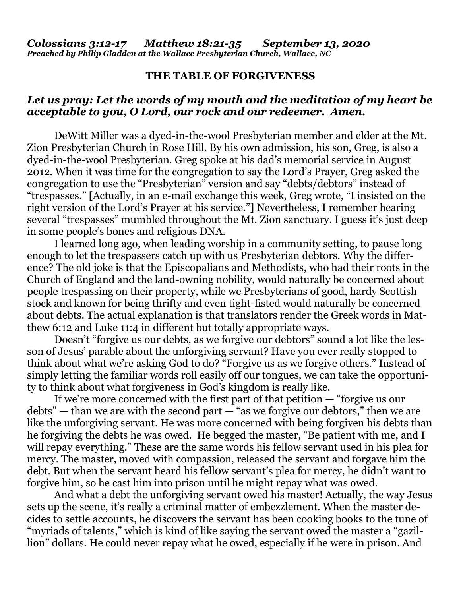## **THE TABLE OF FORGIVENESS**

## *Let us pray: Let the words of my mouth and the meditation of my heart be acceptable to you, O Lord, our rock and our redeemer. Amen.*

DeWitt Miller was a dyed-in-the-wool Presbyterian member and elder at the Mt. Zion Presbyterian Church in Rose Hill. By his own admission, his son, Greg, is also a dyed-in-the-wool Presbyterian. Greg spoke at his dad's memorial service in August 2012. When it was time for the congregation to say the Lord's Prayer, Greg asked the congregation to use the "Presbyterian" version and say "debts/debtors" instead of "trespasses." [Actually, in an e-mail exchange this week, Greg wrote, "I insisted on the right version of the Lord's Prayer at his service."] Nevertheless, I remember hearing several "trespasses" mumbled throughout the Mt. Zion sanctuary. I guess it's just deep in some people's bones and religious DNA.

I learned long ago, when leading worship in a community setting, to pause long enough to let the trespassers catch up with us Presbyterian debtors. Why the difference? The old joke is that the Episcopalians and Methodists, who had their roots in the Church of England and the land-owning nobility, would naturally be concerned about people trespassing on their property, while we Presbyterians of good, hardy Scottish stock and known for being thrifty and even tight-fisted would naturally be concerned about debts. The actual explanation is that translators render the Greek words in Matthew 6:12 and Luke 11:4 in different but totally appropriate ways.

Doesn't "forgive us our debts, as we forgive our debtors" sound a lot like the lesson of Jesus' parable about the unforgiving servant? Have you ever really stopped to think about what we're asking God to do? "Forgive us as we forgive others." Instead of simply letting the familiar words roll easily off our tongues, we can take the opportunity to think about what forgiveness in God's kingdom is really like.

If we're more concerned with the first part of that petition — "forgive us our debts" — than we are with the second part  $-\degree$  as we forgive our debtors," then we are like the unforgiving servant. He was more concerned with being forgiven his debts than he forgiving the debts he was owed. He begged the master, "Be patient with me, and I will repay everything." These are the same words his fellow servant used in his plea for mercy. The master, moved with compassion, released the servant and forgave him the debt. But when the servant heard his fell0w servant's plea for mercy, he didn't want to forgive him, so he cast him into prison until he might repay what was owed.

And what a debt the unforgiving servant owed his master! Actually, the way Jesus sets up the scene, it's really a criminal matter of embezzlement. When the master decides to settle accounts, he discovers the servant has been cooking books to the tune of "myriads of talents," which is kind of like saying the servant owed the master a "gazillion" dollars. He could never repay what he owed, especially if he were in prison. And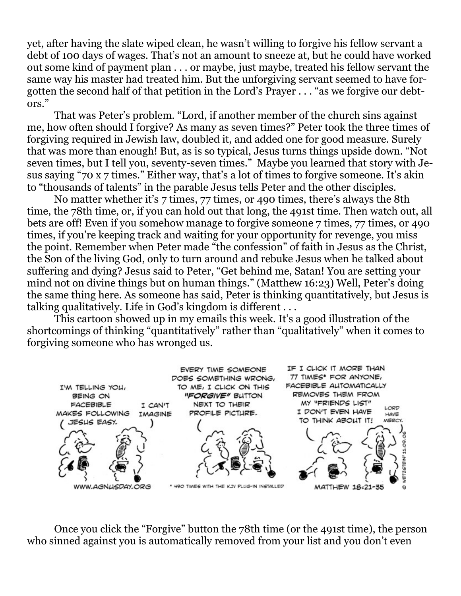yet, after having the slate wiped clean, he wasn't willing to forgive his fellow servant a debt of 100 days of wages. That's not an amount to sneeze at, but he could have worked out some kind of payment plan . . . or maybe, just maybe, treated his fellow servant the same way his master had treated him. But the unforgiving servant seemed to have forgotten the second half of that petition in the Lord's Prayer . . . "as we forgive our debtors."

That was Peter's problem. "Lord, if another member of the church sins against me, how often should I forgive? As many as seven times?" Peter took the three times of forgiving required in Jewish law, doubled it, and added one for good measure. Surely that was more than enough! But, as is so typical, Jesus turns things upside down. "Not seven times, but I tell you, seventy-seven times." Maybe you learned that story with Jesus saying "70 x 7 times." Either way, that's a lot of times to forgive someone. It's akin to "thousands of talents" in the parable Jesus tells Peter and the other disciples.

No matter whether it's 7 times, 77 times, or 490 times, there's always the 8th time, the 78th time, or, if you can hold out that long, the 491st time. Then watch out, all bets are off! Even if you somehow manage to forgive someone 7 times, 77 times, or 490 times, if you're keeping track and waiting for your opportunity for revenge, you miss the point. Remember when Peter made "the confession" of faith in Jesus as the Christ, the Son of the living God, only to turn around and rebuke Jesus when he talked about suffering and dying? Jesus said to Peter, "Get behind me, Satan! You are setting your mind not on divine things but on human things." (Matthew 16:23) Well, Peter's doing the same thing here. As someone has said, Peter is thinking quantitatively, but Jesus is talking qualitatively. Life in God's kingdom is different . . .

This cartoon showed up in my emails this week. It's a good illustration of the shortcomings of thinking "quantitatively" rather than "qualitatively" when it comes to forgiving someone who has wronged us.



Once you click the "Forgive" button the 78th time (or the 491st time), the person who sinned against you is automatically removed from your list and you don't even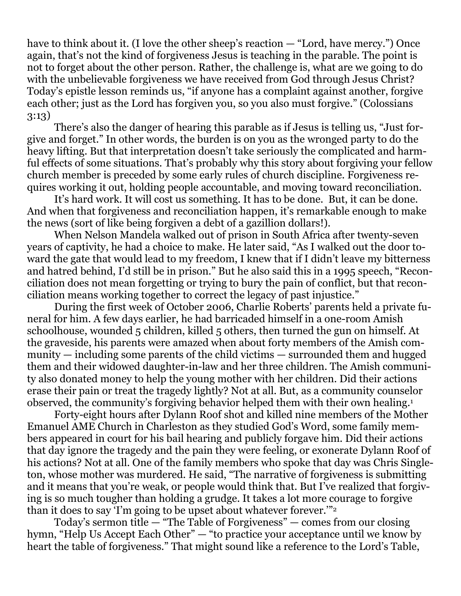have to think about it. (I love the other sheep's reaction — "Lord, have mercy.") Once again, that's not the kind of forgiveness Jesus is teaching in the parable. The point is not to forget about the other person. Rather, the challenge is, what are we going to do with the unbelievable forgiveness we have received from God through Jesus Christ? Today's epistle lesson reminds us, "if anyone has a complaint against another, forgive each other; just as the Lord has forgiven you, so you also must forgive." (Colossians 3:13)

There's also the danger of hearing this parable as if Jesus is telling us, "Just forgive and forget." In other words, the burden is on you as the wronged party to do the heavy lifting. But that interpretation doesn't take seriously the complicated and harmful effects of some situations. That's probably why this story about forgiving your fellow church member is preceded by some early rules of church discipline. Forgiveness requires working it out, holding people accountable, and moving toward reconciliation.

It's hard work. It will cost us something. It has to be done. But, it can be done. And when that forgiveness and reconciliation happen, it's remarkable enough to make the news (sort of like being forgiven a debt of a gazillion dollars!).

When Nelson Mandela walked out of prison in South Africa after twenty-seven years of captivity, he had a choice to make. He later said, "As I walked out the door toward the gate that would lead to my freedom, I knew that if I didn't leave my bitterness and hatred behind, I'd still be in prison." But he also said this in a 1995 speech, "Reconciliation does not mean forgetting or trying to bury the pain of conflict, but that reconciliation means working together to correct the legacy of past injustice."

During the first week of October 2006, Charlie Roberts' parents held a private funeral for him. A few days earlier, he had barricaded himself in a one-room Amish schoolhouse, wounded 5 children, killed 5 others, then turned the gun on himself. At the graveside, his parents were amazed when about forty members of the Amish community — including some parents of the child victims — surrounded them and hugged them and their widowed daughter-in-law and her three children. The Amish community also donated money to help the young mother with her children. Did their actions erase their pain or treat the tragedy lightly? Not at all. But, as a community counselor observed, the community's forgiving behavior helped them with their own healing.<sup>1</sup>

Forty-eight hours after Dylann Roof shot and killed nine members of the Mother Emanuel AME Church in Charleston as they studied God's Word, some family members appeared in court for his bail hearing and publicly forgave him. Did their actions that day ignore the tragedy and the pain they were feeling, or exonerate Dylann Roof of his actions? Not at all. One of the family members who spoke that day was Chris Singleton, whose mother was murdered. He said, "The narrative of forgiveness is submitting and it means that you're weak, or people would think that. But I've realized that forgiving is so much tougher than holding a grudge. It takes a lot more courage to forgive than it does to say 'I'm going to be upset about whatever forever.'"<sup>2</sup>

Today's sermon title — "The Table of Forgiveness" — comes from our closing hymn, "Help Us Accept Each Other" — "to practice your acceptance until we know by heart the table of forgiveness." That might sound like a reference to the Lord's Table,